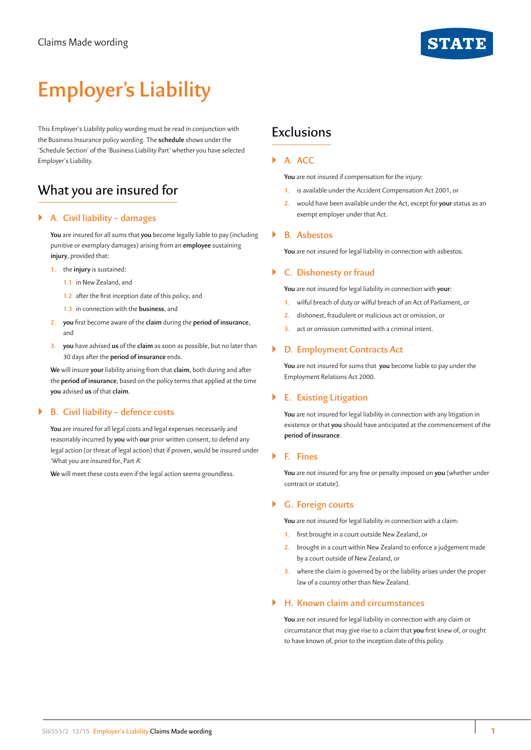# **STAT**

# **Employer's Liability**

This Employer's Liability policy wording must be read in conjunction with the Business Insurance policy wording. The **schedule** shows under the 'Schedule Section' of the 'Business Liability Part' whether you have selected Employer's Liability.

# What you are insured for

# ` **A. Civil liability – damages**

**You** are insured for all sums that **you** become legally liable to pay (including punitive or exemplary damages) arising from an **employee** sustaining **injury**, provided that:

- **1.** the **injury** is sustained:
	- **1.1** in New Zealand, and
	- **1.2** after the first inception date of this policy, and
	- **1.3** in connection with the **business**, and
- **2. you** first become aware of the **claim** during the **period of insurance**, and
- **3. you** have advised **us** of the **claim** as soon as possible, but no later than 30 days after the **period of insurance** ends.

**We** will insure **your** liability arising from that **claim**, both during and after the **period of insurance**, based on the policy terms that applied at the time **you** advised **us** of that **claim**.

# ` **B. Civil liability – defence costs**

**You** are insured for all legal costs and legal expenses necessarily and reasonably incurred by **you** with **our** prior written consent, to defend any legal action (or threat of legal action) that if proven, would be insured under 'What you are insured for, Part A'.

**We** will meet these costs even if the legal action seems groundless.

# Exclusions

# ` **A. ACC**

**You** are not insured if compensation for the injury:

- **1.** is available under the Accident Compensation Act 2001, or
- **2.** would have been available under the Act, except for **your** status as an exempt employer under that Act.

#### ` **B. Asbestos**

**You** are not insured for legal liability in connection with asbestos.

# ` **C. Dishonesty or fraud**

**You** are not insured for legal liability in connection with **your**:

- **1.** wilful breach of duty or wilful breach of an Act of Parliament, or
- **2.** dishonest, fraudulent or malicious act or omission, or
- **3.** act or omission committed with a criminal intent.

# ` **D. Employment Contracts Act**

**You** are not insured for sums that **you** become liable to pay under the Employment Relations Act 2000.

# ` **E. Existing Litigation**

**You** are not insured for legal liability in connection with any litigation in existence or that **you** should have anticipated at the commencement of the **period of insurance**.

### ` **F. Fines**

**You** are not insured for any fine or penalty imposed on **you** (whether under contract or statute).

# ` **G. Foreign courts**

**You** are not insured for legal liability in connection with a claim:

- **1.** first brought in a court outside New Zealand, or
- **2.** brought in a court within New Zealand to enforce a judgement made by a court outside of New Zealand, or
- **3.** where the claim is governed by or the liability arises under the proper law of a country other than New Zealand.

# ` **H. Known claim and circumstances**

**You** are not insured for legal liability in connection with any claim or circumstance that may give rise to a claim that **you** first knew of, or ought to have known of, prior to the inception date of this policy.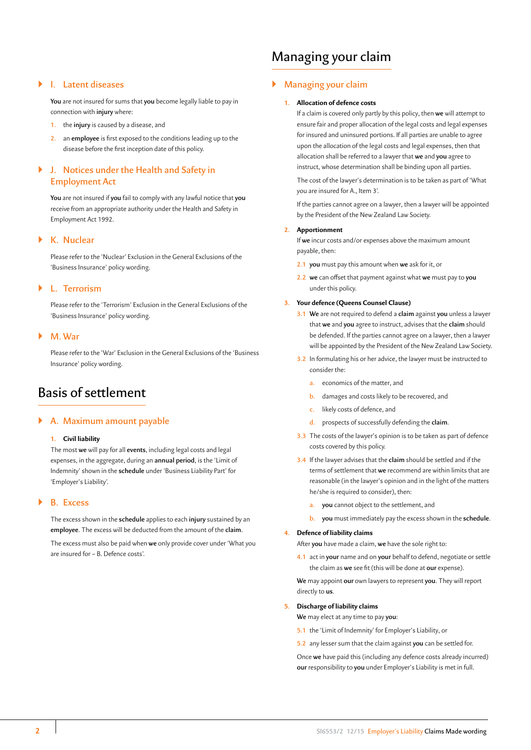# Managing your claim

# ` **I. Latent diseases**

**You** are not insured for sums that **you** become legally liable to pay in connection with **injury** where:

- **1.** the **injury** is caused by a disease, and
- **2.** an **employee** is first exposed to the conditions leading up to the disease before the first inception date of this policy.

# ` **J. Notices under the Health and Safety in Employment Act**

**You** are not insured if **you** fail to comply with any lawful notice that **you**  receive from an appropriate authority under the Health and Safety in Employment Act 1992.

# ` **K. Nuclear**

Please refer to the 'Nuclear' Exclusion in the General Exclusions of the 'Business Insurance' policy wording.

# ` **L. Terrorism**

Please refer to the 'Terrorism' Exclusion in the General Exclusions of the 'Business Insurance' policy wording.

#### ` **M. War**

Please refer to the 'War' Exclusion in the General Exclusions of the 'Business Insurance' policy wording.

# Basis of settlement

### ` **A. Maximum amount payable**

#### **1. Civil liability**

The most **we** will pay for all **events**, including legal costs and legal expenses, in the aggregate, during an **annual period**, is the 'Limit of Indemnity' shown in the **schedule** under 'Business Liability Part' for 'Employer's Liability'.

### ` **B. Excess**

The excess shown in the **schedule** applies to each **injury** sustained by an **employee**. The excess will be deducted from the amount of the **claim**.

The excess must also be paid when **we** only provide cover under 'What you are insured for – B. Defence costs'.

### ` **Managing your claim**

#### **1. Allocation of defence costs**

If a claim is covered only partly by this policy, then **we** will attempt to ensure fair and proper allocation of the legal costs and legal expenses for insured and uninsured portions. If all parties are unable to agree upon the allocation of the legal costs and legal expenses, then that allocation shall be referred to a lawyer that **we** and **you** agree to instruct, whose determination shall be binding upon all parties.

The cost of the lawyer's determination is to be taken as part of 'What you are insured for A., Item 3'.

If the parties cannot agree on a lawyer, then a lawyer will be appointed by the President of the New Zealand Law Society.

#### **2. Apportionment**

If **we** incur costs and/or expenses above the maximum amount payable, then:

- **2.1 you** must pay this amount when **we** ask for it, or
- **2.2 we** can offset that payment against what **we** must pay to **you**  under this policy.

#### **3. Your defence (Queens Counsel Clause)**

- **3.1 We** are not required to defend a **claim** against **you** unless a lawyer that **we** and **you** agree to instruct, advises that the **claim** should be defended. If the parties cannot agree on a lawyer, then a lawyer will be appointed by the President of the New Zealand Law Society.
- **3.2** In formulating his or her advice, the lawyer must be instructed to consider the:
	- **a.** economics of the matter, and
	- **b.** damages and costs likely to be recovered, and
	- **c.** likely costs of defence, and
	- **d.** prospects of successfully defending the **claim**.
- **3.3** The costs of the lawyer's opinion is to be taken as part of defence costs covered by this policy.
- **3.4** If the lawyer advises that the **claim** should be settled and if the terms of settlement that **we** recommend are within limits that are reasonable (in the lawyer's opinion and in the light of the matters he/she is required to consider), then:
	- **a. you** cannot object to the settlement, and
	- **b. you** must immediately pay the excess shown in the **schedule**.

#### **4. Defence of liability claims**

- After **you** have made a claim, **we** have the sole right to:
- **4.1** act in **your** name and on **your** behalf to defend, negotiate or settle the claim as **we** see fit (this will be done at **our** expense).

**We** may appoint **our** own lawyers to represent **you**. They will report directly to **us**.

#### **5. Discharge of liability claims**

**We** may elect at any time to pay **you**:

- **5.1** the 'Limit of Indemnity' for Employer's Liability, or
- **5.2** any lesser sum that the claim against **you** can be settled for.

Once **we** have paid this (including any defence costs already incurred) **our** responsibility to **you** under Employer's Liability is met in full.